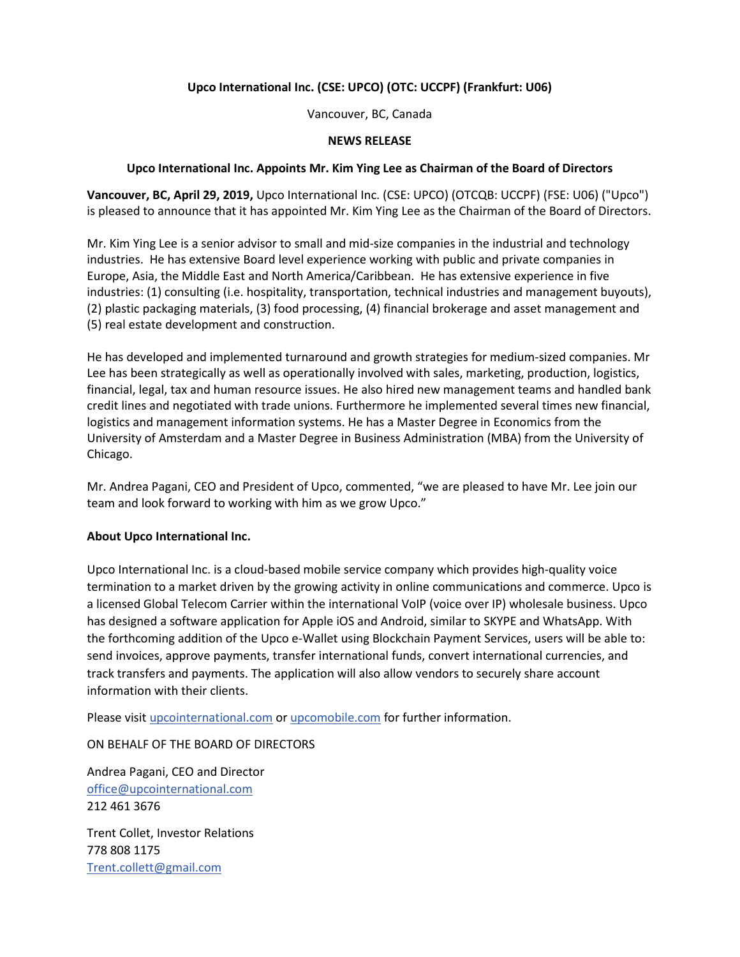# **Upco International Inc. (CSE: UPCO) (OTC: UCCPF) (Frankfurt: U06)**

Vancouver, BC, Canada

#### **NEWS RELEASE**

#### **Upco International Inc. Appoints Mr. Kim Ying Lee as Chairman of the Board of Directors**

**Vancouver, BC, April 29, 2019,** Upco International Inc. (CSE: UPCO) (OTCQB: UCCPF) (FSE: U06) ("Upco") is pleased to announce that it has appointed Mr. Kim Ying Lee as the Chairman of the Board of Directors.

Mr. Kim Ying Lee is a senior advisor to small and mid-size companies in the industrial and technology industries. He has extensive Board level experience working with public and private companies in Europe, Asia, the Middle East and North America/Caribbean. He has extensive experience in five industries: (1) consulting (i.e. hospitality, transportation, technical industries and management buyouts), (2) plastic packaging materials, (3) food processing, (4) financial brokerage and asset management and (5) real estate development and construction.

He has developed and implemented turnaround and growth strategies for medium-sized companies. Mr Lee has been strategically as well as operationally involved with sales, marketing, production, logistics, financial, legal, tax and human resource issues. He also hired new management teams and handled bank credit lines and negotiated with trade unions. Furthermore he implemented several times new financial, logistics and management information systems. He has a Master Degree in Economics from the University of Amsterdam and a Master Degree in Business Administration (MBA) from the University of Chicago.

Mr. Andrea Pagani, CEO and President of Upco, commented, "we are pleased to have Mr. Lee join our team and look forward to working with him as we grow Upco."

### **About Upco International Inc.**

Upco International Inc. is a cloud-based mobile service company which provides high-quality voice termination to a market driven by the growing activity in online communications and commerce. Upco is a licensed Global Telecom Carrier within the international VoIP (voice over IP) wholesale business. Upco has designed a software application for Apple iOS and Android, similar to SKYPE and WhatsApp. With the forthcoming addition of the Upco e-Wallet using Blockchain Payment Services, users will be able to: send invoices, approve payments, transfer international funds, convert international currencies, and track transfers and payments. The application will also allow vendors to securely share account information with their clients.

Please visi[t upcointernational.com](http://upcointernational.com/) or [upcomobile.com](http://upcomobile.com/) for further information.

ON BEHALF OF THE BOARD OF DIRECTORS

Andrea Pagani, CEO and Director [office@upcointernational.com](mailto:office@upcointernational.com) 212 461 3676

Trent Collet, Investor Relations 778 808 1175 [Trent.collett@gmail.com](mailto:Trent.collett@gmail.com)